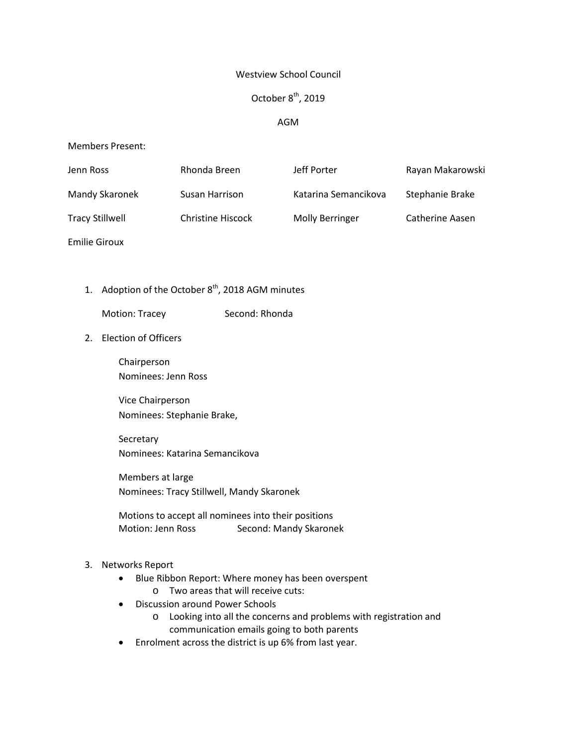### Westview School Council

# October  $8<sup>th</sup>$ , 2019

# AGM

### Members Present:

| Jenn Ross              | Rhonda Breen      | Jeff Porter            | Rayan Makarowski       |
|------------------------|-------------------|------------------------|------------------------|
| Mandy Skaronek         | Susan Harrison    | Katarina Semancikova   | Stephanie Brake        |
| <b>Tracy Stillwell</b> | Christine Hiscock | <b>Molly Berringer</b> | <b>Catherine Aasen</b> |

Emilie Giroux

# 1. Adoption of the October  $8<sup>th</sup>$ , 2018 AGM minutes

Motion: Tracey Second: Rhonda

### 2. Election of Officers

Chairperson Nominees: Jenn Ross

Vice Chairperson Nominees: Stephanie Brake,

Secretary Nominees: Katarina Semancikova

Members at large Nominees: Tracy Stillwell, Mandy Skaronek

Motions to accept all nominees into their positions Motion: Jenn Ross Second: Mandy Skaronek

# 3. Networks Report

- Blue Ribbon Report: Where money has been overspent o Two areas that will receive cuts:
- Discussion around Power Schools
	- o Looking into all the concerns and problems with registration and communication emails going to both parents
- Enrolment across the district is up 6% from last year.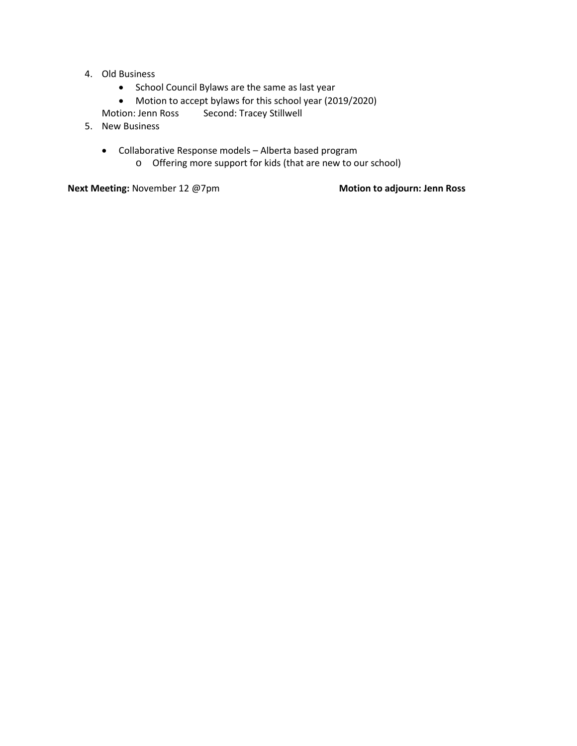- 4. Old Business
	- School Council Bylaws are the same as last year
	- Motion to accept bylaws for this school year (2019/2020)
	- Motion: Jenn Ross Second: Tracey Stillwell
- 5. New Business
	- Collaborative Response models Alberta based program
		- o Offering more support for kids (that are new to our school)

**Next Meeting:** November 12 @7pm **Motion Motion to** adjourn: Jenn Ross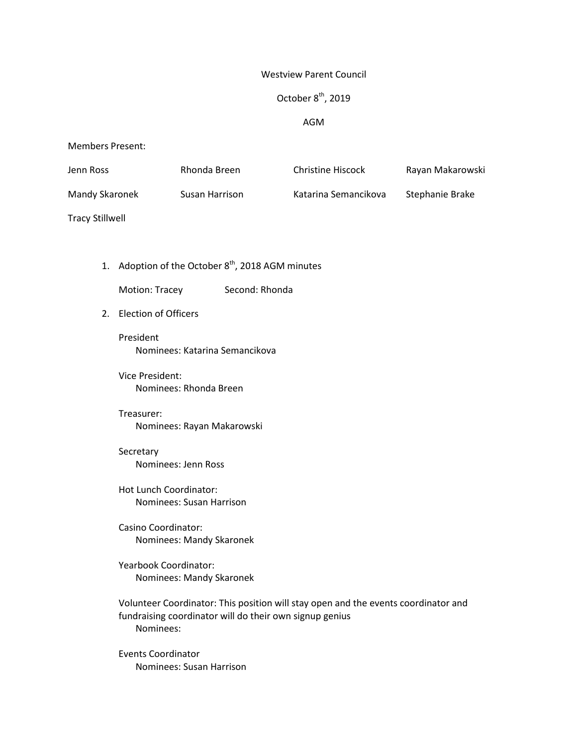#### Westview Parent Council

# October 8<sup>th</sup>, 2019

#### AGM

#### Members Present:

| Jenn Ross      | Rhonda Breen   | <b>Christine Hiscock</b> | Rayan Makarowski |
|----------------|----------------|--------------------------|------------------|
| Mandy Skaronek | Susan Harrison | Katarina Semancikova     | Stephanie Brake  |

Tracy Stillwell

1. Adoption of the October  $8<sup>th</sup>$ , 2018 AGM minutes

Motion: Tracey Second: Rhonda

2. Election of Officers

President Nominees: Katarina Semancikova

Vice President: Nominees: Rhonda Breen

# Treasurer: Nominees: Rayan Makarowski

Secretary Nominees: Jenn Ross

Hot Lunch Coordinator: Nominees: Susan Harrison

Casino Coordinator: Nominees: Mandy Skaronek

Yearbook Coordinator: Nominees: Mandy Skaronek

Volunteer Coordinator: This position will stay open and the events coordinator and fundraising coordinator will do their own signup genius Nominees:

Events Coordinator Nominees: Susan Harrison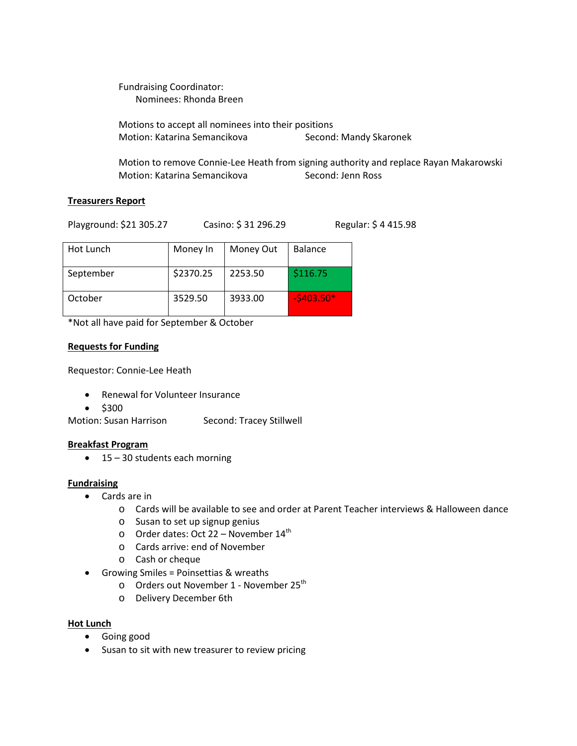Fundraising Coordinator: Nominees: Rhonda Breen

Motions to accept all nominees into their positions Motion: Katarina Semancikova Second: Mandy Skaronek

Motion to remove Connie-Lee Heath from signing authority and replace Rayan Makarowski Motion: Katarina Semancikova Second: Jenn Ross

# **Treasurers Report**

Playground: \$21 305.27 Casino: \$ 31 296.29 Regular: \$ 4 415.98

| Hot Lunch | Money In  | Money Out | <b>Balance</b> |
|-----------|-----------|-----------|----------------|
| September | \$2370.25 | 2253.50   | \$116.75       |
| October   | 3529.50   | 3933.00   | $-5403.50*$    |

\*Not all have paid for September & October

# **Requests for Funding**

Requestor: Connie-Lee Heath

- Renewal for Volunteer Insurance
- \$300

Motion: Susan Harrison Second: Tracey Stillwell

# **Breakfast Program**

• 15 – 30 students each morning

# **Fundraising**

- Cards are in
	- o Cards will be available to see and order at Parent Teacher interviews & Halloween dance
	- o Susan to set up signup genius
	- o Order dates: Oct 22 November  $14<sup>th</sup>$
	- o Cards arrive: end of November
	- o Cash or cheque
- Growing Smiles = Poinsettias & wreaths
	- o Orders out November 1 November 25<sup>th</sup>
	- o Delivery December 6th

#### **Hot Lunch**

- Going good
- Susan to sit with new treasurer to review pricing